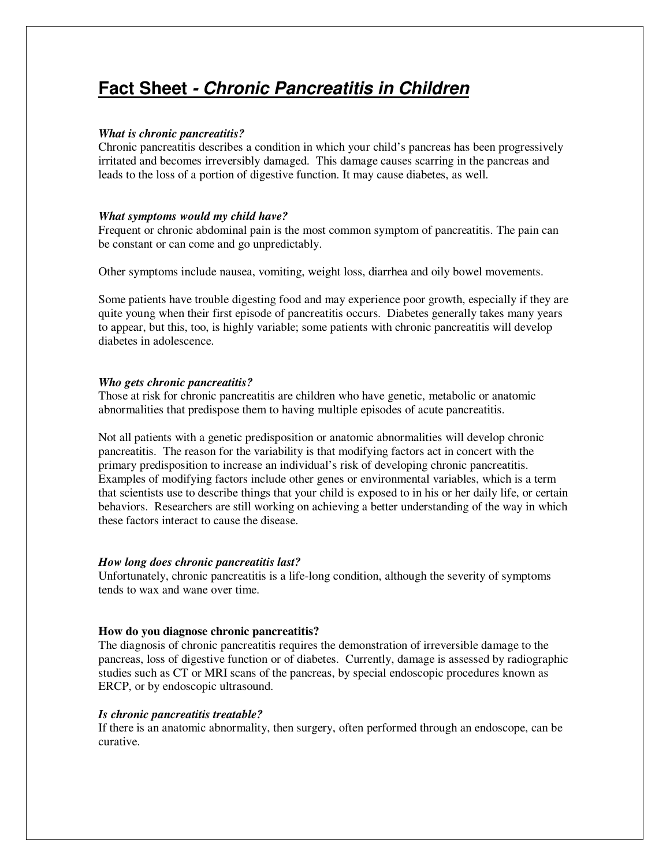# **Fact Sheet - Chronic Pancreatitis in Children**

# *What is chronic pancreatitis?*

Chronic pancreatitis describes a condition in which your child's pancreas has been progressively irritated and becomes irreversibly damaged. This damage causes scarring in the pancreas and leads to the loss of a portion of digestive function. It may cause diabetes, as well.

# *What symptoms would my child have?*

Frequent or chronic abdominal pain is the most common symptom of pancreatitis. The pain can be constant or can come and go unpredictably.

Other symptoms include nausea, vomiting, weight loss, diarrhea and oily bowel movements.

Some patients have trouble digesting food and may experience poor growth, especially if they are quite young when their first episode of pancreatitis occurs. Diabetes generally takes many years to appear, but this, too, is highly variable; some patients with chronic pancreatitis will develop diabetes in adolescence.

# *Who gets chronic pancreatitis?*

Those at risk for chronic pancreatitis are children who have genetic, metabolic or anatomic abnormalities that predispose them to having multiple episodes of acute pancreatitis.

Not all patients with a genetic predisposition or anatomic abnormalities will develop chronic pancreatitis. The reason for the variability is that modifying factors act in concert with the primary predisposition to increase an individual's risk of developing chronic pancreatitis. Examples of modifying factors include other genes or environmental variables, which is a term that scientists use to describe things that your child is exposed to in his or her daily life, or certain behaviors. Researchers are still working on achieving a better understanding of the way in which these factors interact to cause the disease.

# *How long does chronic pancreatitis last?*

Unfortunately, chronic pancreatitis is a life-long condition, although the severity of symptoms tends to wax and wane over time.

# **How do you diagnose chronic pancreatitis?**

The diagnosis of chronic pancreatitis requires the demonstration of irreversible damage to the pancreas, loss of digestive function or of diabetes. Currently, damage is assessed by radiographic studies such as CT or MRI scans of the pancreas, by special endoscopic procedures known as ERCP, or by endoscopic ultrasound.

# *Is chronic pancreatitis treatable?*

If there is an anatomic abnormality, then surgery, often performed through an endoscope, can be curative.